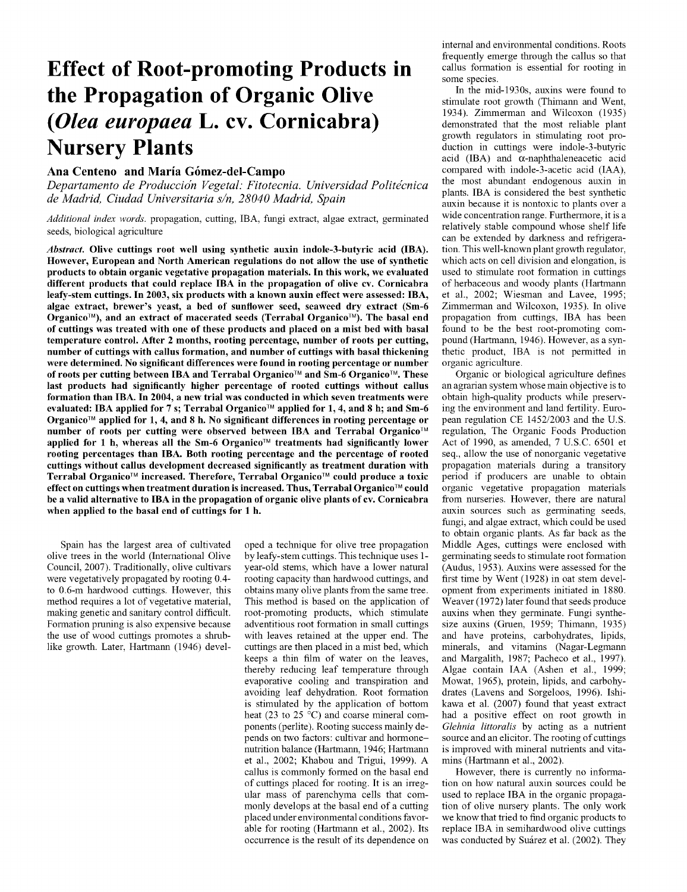# **Effect of Root-promoting Products in the Propagation of Organic Olive**  *(Olea europaea* **L. cv. Cornicabra) Nursery Plants**

## **Ana Centeno and Maria Gomez-del-Campo**

*Departamento de Produccidn Vegetal: Fitotecnia. Universidad Politecnica de Madrid, Ciudad Universitaria s/n, 28040 Madrid, Spain* 

*Additional index words,* propagation, cutting, IBA, fungi extract, algae extract, germinated seeds, biological agriculture

*Abstract.* **Olive cuttings root well using synthetic auxin indole-3-butyric acid (IBA). However, European and North American regulations do not allow the use of synthetic products to obtain organic vegetative propagation materials. In this work, we evaluated different products that could replace IBA in the propagation of olive cv. Cornicabra leafy-stem cuttings. In 2003, six products with a known auxin effect were assessed: IBA, algae extract, brewer's yeast, a bed of sunflower seed, seaweed dry extract (Sm-6 Organico™), and an extract of macerated seeds (Terrabal Organico™). The basal end of cuttings was treated with one of these products and placed on a mist bed with basal temperature control. After 2 months, rooting percentage, number of roots per cutting, number of cuttings with callus formation, and number of cuttings with basal thickening were determined. No significant differences were found in rooting percentage or number of roots per cutting between IBA and Terrabal Organico™ and Sm-6 Organico™. These last products had significantly higher percentage of rooted cuttings without callus formation than IBA. In 2004, a new trial was conducted in which seven treatments were evaluated: IBA applied for 7 s; Terrabal Organico™ applied for 1, 4, and 8 h; and Sm-6 Organico™ applied for 1, 4, and 8 h. No significant differences in rooting percentage or number of roots per cutting were observed between IBA and Terrabal Organico™ applied for 1 h, whereas all the Sm-6 Organico™ treatments had significantly lower rooting percentages than IBA. Both rooting percentage and the percentage of rooted cuttings without callus development decreased significantly as treatment duration with Terrabal Organico™ increased. Therefore, Terrabal Organico™ could produce a toxic effect on cuttings when treatment duration is increased. Thus, Terrabal Organico™ could be a valid alternative to IBA in the propagation of organic olive plants of cv. Cornicabra when applied to the basal end of cuttings for 1 h.** 

Spain has the largest area of cultivated olive trees in the world (International Olive Council, 2007). Traditionally, olive cultivars were vegetatively propagated by rooting 0.4 to 0.6-m hardwood cuttings. However, this method requires a lot of vegetative material, making genetic and sanitary control difficult. Formation pruning is also expensive because the use of wood cuttings promotes a shrublike growth. Later, Hartmann (1946) developed a technique for olive tree propagation by leafy-stem cuttings. This technique uses 1 year-old stems, which have a lower natural rooting capacity than hardwood cuttings, and obtains many olive plants from the same tree. This method is based on the application of root-promoting products, which stimulate adventitious root formation in small cuttings with leaves retained at the upper end. The cuttings are then placed in a mist bed, which keeps a thin film of water on the leaves, thereby reducing leaf temperature through evaporative cooling and transpiration and avoiding leaf dehydration. Root formation is stimulated by the application of bottom heat (23 to 25 $\degree$ C) and coarse mineral components (perlite). Rooting success mainly depends on two factors: cultivar and hormonenutrition balance (Hartmann, 1946; Hartmann et al., 2002; Khabou and Trigui, 1999). A callus is commonly formed on the basal end of cuttings placed for rooting. It is an irregular mass of parenchyma cells that commonly develops at the basal end of a cutting placed under environmental conditions favorable for rooting (Hartmann et al., 2002). Its occurrence is the result of its dependence on internal and environmental conditions. Roots frequently emerge through the callus so that callus formation is essential for rooting in some species.

In the mid-1930s, auxins were found to stimulate root growth (Thimann and Went, 1934). Zimmerman and Wilcoxon (1935) demonstrated that the most reliable plant growth regulators in stimulating root production in cuttings were indole-3-butyric acid (IBA) and  $\alpha$ -naphthaleneacetic acid compared with indole-3-acetic acid (IAA), the most abundant endogenous auxin in plants. IBA is considered the best synthetic auxin because it is nontoxic to plants over a wide concentration range. Furthermore, it is a relatively stable compound whose shelf life can be extended by darkness and refrigeration. This well-known plant growth regulator, which acts on cell division and elongation, is used to stimulate root formation in cuttings of herbaceous and woody plants (Hartmann et al., 2002; Wiesman and Lavee, 1995; Zimmerman and Wilcoxon, 1935). In olive propagation from cuttings, IBA has been found to be the best root-promoting compound (Hartmann, 1946). However, as a synthetic product, IBA is not permitted in organic agriculture.

Organic or biological agriculture defines an agrarian system whose main objective is to obtain high-quality products while preserving the environment and land fertility. European regulation CE 1452/2003 and the U.S. regulation, The Organic Foods Production Act of 1990, as amended, 7 U.S.C. 6501 et seq., allow the use of nonorganic vegetative propagation materials during a transitory period if producers are unable to obtain organic vegetative propagation materials from nurseries. However, there are natural auxin sources such as germinating seeds, fungi, and algae extract, which could be used to obtain organic plants. As far back as the Middle Ages, cuttings were enclosed with germinating seeds to stimulate root formation (Audus, 1953). Auxins were assessed for the first time by Went (1928) in oat stem development from experiments initiated in 1880. Weaver (1972) later found that seeds produce auxins when they germinate. Fungi synthesize auxins (Gruen, 1959; Thimann, 1935) and have proteins, carbohydrates, lipids, minerals, and vitamins (Nagar-Legmann and Margalith, 1987; Pacheco et al., 1997). Algae contain IAA (Ashen et al., 1999; Mowat, 1965), protein, lipids, and carbohydrates (Lavens and Sorgeloos, 1996). Ishikawa et al. (2007) found that yeast extract had a positive effect on root growth in *Glehnia littoralis* by acting as a nutrient source and an elicitor. The rooting of cuttings is improved with mineral nutrients and vitamins (Hartmann et al., 2002).

However, there is currently no information on how natural auxin sources could be used to replace IBA in the organic propagation of olive nursery plants. The only work we know that tried to find organic products to replace IBA in semihardwood olive cuttings was conducted by Suárez et al. (2002). They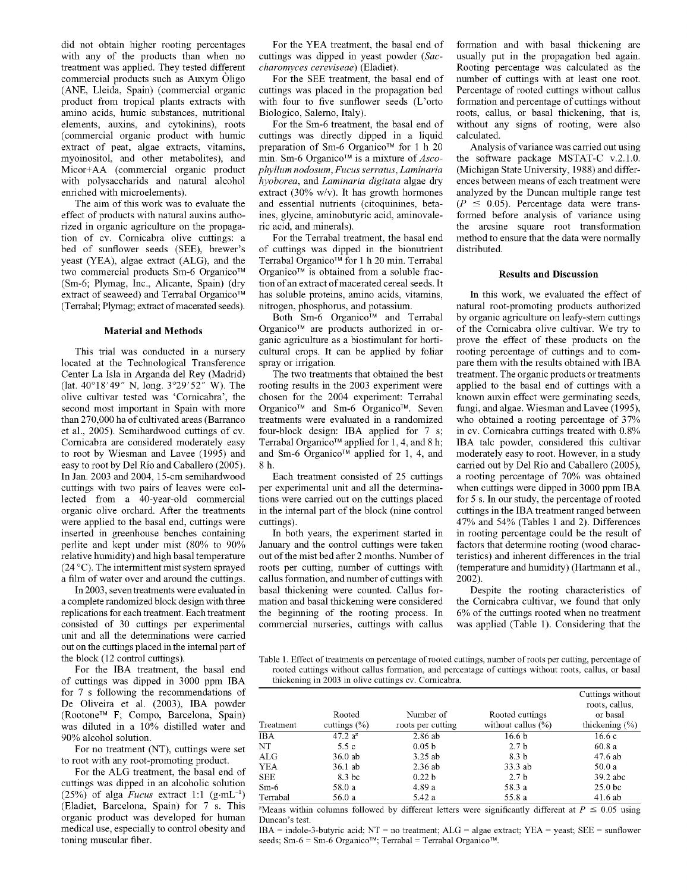did not obtain higher rooting percentages with any of the products than when no treatment was applied. They tested different commercial products such as Auxym Oligo (ANE, Lleida, Spain) (commercial organic product from tropical plants extracts with amino acids, humic substances, nutritional elements, auxins, and cytokinins), roots (commercial organic product with humic extract of peat, algae extracts, vitamins, myoinositol, and other metabolites), and Micor+AA (commercial organic product with polysaccharids and natural alcohol enriched with microelements).

The aim of this work was to evaluate the effect of products with natural auxins authorized in organic agriculture on the propagation of cv. Cornicabra olive cuttings: a bed of sunflower seeds (SEE), brewer's yeast (YEA), algae extract (ALG), and the two commercial products Sm-6 Organico™ (Sm-6; Plymag, Inc., Alicante, Spain) (dry extract of seaweed) and Terrabal Organico™ (Terrabal; Plymag; extract of macerated seeds).

#### **Material and Methods**

This trial was conducted in a nursery located at the Technological Transference Center La Isla in Arganda del Rey (Madrid) (lat. 40°18'49" N, long. 3°29'52" W). The olive cultivar tested was 'Cornicabra', the second most important in Spain with more than 270,000 ha of cultivated areas (Barranco et al., 2005). Semihardwood cuttings of cv. Cornicabra are considered moderately easy to root by Wiesman and Lavee (1995) and easy to root by Del Rio and Caballero (2005). In Jan. 2003 and 2004, 15-cm semihardwood cuttings with two pairs of leaves were collected from a 40-year-old commercial organic olive orchard. After the treatments were applied to the basal end, cuttings were inserted in greenhouse benches containing perlite and kept under mist (80% to 90% relative humidity) and high basal temperature (24 °C). The intermittent mist system sprayed a film of water over and around the cuttings.

In 2003, seven treatments were evaluated in a complete randomized block design with three replications for each treatment. Each treatment consisted of 30 cuttings per experimental unit and all the determinations were carried out on the cuttings placed in the internal part of the block (12 control cuttings).

For the IBA treatment, the basal end of cuttings was dipped in 3000 ppm IBA for 7 s following the recommendations of De Oliveira et al. (2003), IBA powder (Rootone™ F; Compo, Barcelona, Spain) was diluted in a 10% distilled water and 90% alcohol solution.

For no treatment (NT), cuttings were set to root with any root-promoting product.

For the ALG treatment, the basal end of cuttings was dipped in an alcoholic solution  $(25%)$  of alga *Fucus* extract 1:1  $(g\cdot mL^{-1})$ (Eladiet, Barcelona, Spain) for 7 s. This organic product was developed for human medical use, especially to control obesity and toning muscular fiber.

For the YEA treatment, the basal end of cuttings was dipped in yeast powder *(Saccharomyces cereviseae)* (Eladiet).

For the SEE treatment, the basal end of cuttings was placed in the propagation bed with four to five sunflower seeds (L'orto Biologico, Salerno, Italy).

For the Sm-6 treatment, the basal end of cuttings was directly dipped in a liquid preparation of Sm-6 Organico™ for 1 h 20 min. Sm-6 Organico™ is a mixture of *Ascophyllum nodosum, Fucus serratus, Laminaria hyoborea,* and *Laminaria digitata* algae dry extract (30% w/v). It has growth hormones and essential nutrients (citoquinines, betaines, glycine, aminobutyric acid, aminovaleric acid, and minerals).

For the Terrabal treatment, the basal end of cuttings was dipped in the bionutrient Terrabal Organico™ for 1 h 20 min. Terrabal Organico™ is obtained from a soluble fraction of an extract of macerated cereal seeds. It has soluble proteins, amino acids, vitamins, nitrogen, phosphorus, and potassium.

Both Sm-6 Organico™ and Terrabal Organico™ are products authorized in organic agriculture as a biostimulant for horticultural crops. It can be applied by foliar spray or irrigation.

The two treatments that obtained the best rooting results in the 2003 experiment were chosen for the 2004 experiment: Terrabal Organico™ and Sm-6 Organico™. Seven treatments were evaluated in a randomized four-block design: IBA applied for 7 s; Terrabal Organico™ applied for 1, 4, and 8 h; and Sm-6 Organico™ applied for 1, 4, and 8h.

Each treatment consisted of 25 cuttings per experimental unit and all the determinations were carried out on the cuttings placed in the internal part of the block (nine control cuttings).

In both years, the experiment started in January and the control cuttings were taken out of the mist bed after 2 months. Number of roots per cutting, number of cuttings with callus formation, and number of cuttings with basal thickening were counted. Callus formation and basal thickening were considered the beginning of the rooting process. In commercial nurseries, cuttings with callus formation and with basal thickening are usually put in the propagation bed again. Rooting percentage was calculated as the number of cuttings with at least one root. Percentage of rooted cuttings without callus formation and percentage of cuttings without roots, callus, or basal thickening, that is, without any signs of rooting, were also calculated.

Analysis of variance was carried out using the software package MSTAT-C v.2.1.0. (Michigan State University, 1988) and differences between means of each treatment were analyzed by the Duncan multiple range test  $(P \leq 0.05)$ . Percentage data were transformed before analysis of variance using the arcsine square root transformation method to ensure that the data were normally distributed.

### **Results and Discussion**

In this work, we evaluated the effect of natural root-promoting products authorized by organic agriculture on leafy-stem cuttings of the Cornicabra olive cultivar. We try to prove the effect of these products on the rooting percentage of cuttings and to compare them with the results obtained with IBA treatment. The organic products or treatments applied to the basal end of cuttings with a known auxin effect were germinating seeds, fungi, and algae. Wiesman and Lavee (1995), who obtained a rooting percentage of 37% in cv. Cornicabra cuttings treated with 0.8% IBA talc powder, considered this cultivar moderately easy to root. However, in a study carried out by Del Rio and Caballero (2005), a rooting percentage of 70% was obtained when cuttings were dipped in 3000 ppm IBA for 5 s. In our study, the percentage of rooted cuttings in the IBA treatment ranged between 47% and 54% (Tables 1 and 2). Differences in rooting percentage could be the result of factors that determine rooting (wood characteristics) and inherent differences in the trial (temperature and humidity) (Hartmann et al., 2002).

Despite the rooting characteristics of the Cornicabra cultivar, we found that only 6% of the cuttings rooted when no treatment was applied (Table 1). Considering that the

Table 1. Effect of treatments on percentage of rooted cuttings, number of roots per cutting, percentage of rooted cuttings without callus formation, and percentage of cuttings without roots, callus, or basal thickening in 2003 in olive cuttings cv. Cornicabra.

| Treatment  | Rooted<br>cuttings $(\% )$ | Number of<br>roots per cutting | Rooted cuttings<br>without callus $(\%)$ | Cuttings without<br>roots, callus,<br>or basal<br>thickening $(\% )$ |
|------------|----------------------------|--------------------------------|------------------------------------------|----------------------------------------------------------------------|
| <b>IBA</b> | $47.2 a^2$                 | 2.86 ab                        | 16.6 b                                   | 16.6 c                                                               |
| NT         | 5.5c                       | 0.05 <sub>b</sub>              | 2.7 <sub>b</sub>                         | 60.8a                                                                |
| ALG        | 36.0 ab                    | $3.25$ ab                      | 8.3 b                                    | 47.6 ab                                                              |
| YEA        | 36.1 ab                    | 2.36ab                         | 33.3 ab                                  | 50.0 a                                                               |
| SEE.       | 8.3 bc                     | 0.22 <sub>b</sub>              | 2.7 <sub>b</sub>                         | $39.2$ abc                                                           |
| $Sm-6$     | 58.0 a                     | 4.89 a                         | 58.3 a                                   | 25.0 <sub>bc</sub>                                                   |
| Terrabal   | 56.0 a                     | 5.42 a                         | 55.8 a                                   | 41.6ab                                                               |

<sup>2</sup>Means within columns followed by different letters were significantly different at  $P \le 0.05$  using Duncan's test.

 $IBA =$  indole-3-butyric acid;  $NT =$  no treatment;  $ALG =$  algae extract;  $YEA =$  yeast;  $SE =$  sunflower seeds; Sm-6 = Sm-6 Organico™; Terrabal = Terrabal Organico™.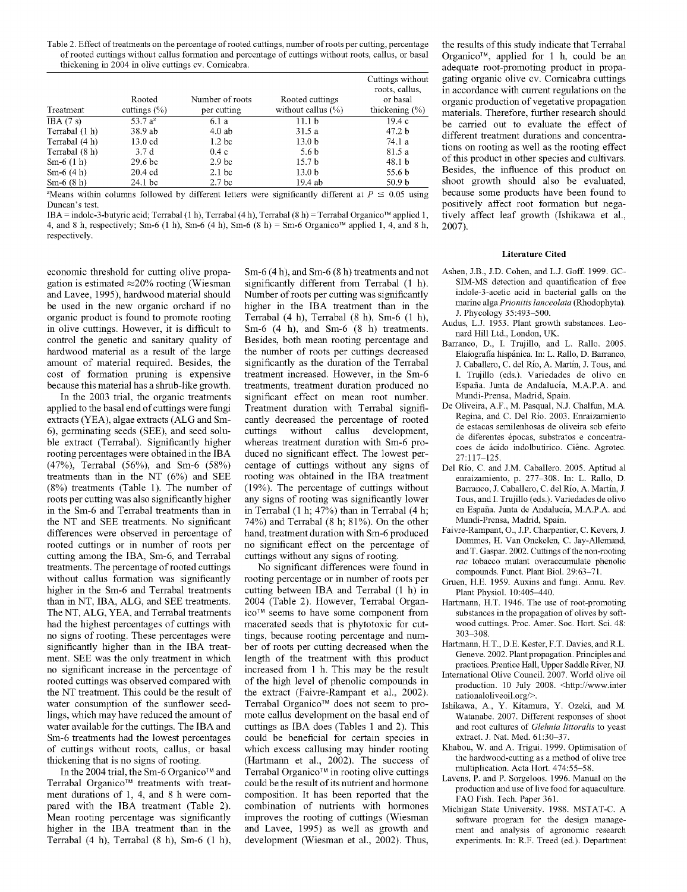Table 2. Effect of treatments on the percentage of rooted cuttings, number of roots per cutting, percentage of rooted cuttings without callus formation and percentage of cuttings without roots, callus, or basal thickening in 2004 in olive cuttings cv. Cornicabra.

|                |                    |                   |                       | Cuttings without<br>roots, callus, |
|----------------|--------------------|-------------------|-----------------------|------------------------------------|
|                | Rooted             | Number of roots   | Rooted cuttings       | or basal                           |
| Treatment      | cuttings $(\%)$    | per cutting       | without callus $(\%)$ | thickening $(\%)$                  |
| IBA $(7 s)$    | 53.7 $a^2$         | 6.1 a             | 11.1 b                | 19.4c                              |
| Terrabal (1 h) | 38.9 ab            | 4.0ab             | 31.5 a                | 47.2 <sub>b</sub>                  |
| Terrabal (4 h) | $13.0 \text{ cd}$  | 1.2 <sub>bc</sub> | 13.0 <sub>b</sub>     | 74.1 a                             |
| Terrabal (8 h) | 3.7 d              | 0.4c              | 5.6 b                 | 81.5 a                             |
| $Sm-6(1 h)$    | 29.6 <sub>bc</sub> | 2.9 <sub>bc</sub> | 15.7 <sub>b</sub>     | 48.1 <sub>b</sub>                  |
| $Sm-6(4h)$     | $20.4 \text{ cd}$  | 2.1 <sub>bc</sub> | 13.0 <sub>b</sub>     | 55.6 <sub>b</sub>                  |
| $Sm-6(8 h)$    | 24.1 bc            | 2.7 <sub>bc</sub> | 19.4 ab               | 50.9 <sub>b</sub>                  |

<sup>2</sup>Means within columns followed by different letters were significantly different at  $P \le 0.05$  using Duncan's test.

IBA = indole-3-butyric acid; Terrabal (1 h), Terrabal (4 h), Terrabal (8 h) = Terrabal Organico™ applied 1, 4, and 8 h, respectively; Sm-6 (1 h), Sm-6 (4 h), Sm-6 (8 h) = Sm-6 Organico™ applied 1, 4, and 8 h, respectively.

economic threshold for cutting olive propagation is estimated  $\approx$  20% rooting (Wiesman and Lavee, 1995), hardwood material should be used in the new organic orchard if no organic product is found to promote rooting in olive cuttings. However, it is difficult to control the genetic and sanitary quality of hardwood material as a result of the large amount of material required. Besides, the cost of formation pruning is expensive because this material has a shrub-like growth.

In the 2003 trial, the organic treatments applied to the basal end of cuttings were fungi extracts (YEA), algae extracts (ALG and Sm-6), germinating seeds (SEE), and seed soluble extract (Terrabal). Significantly higher rooting percentages were obtained in the IBA (47%), Terrabal (56%), and Sm-6 (58%) treatments than in the NT (6%) and SEE (8%) treatments (Table 1). The number of roots per cutting was also significantly higher in the Sm-6 and Terrabal treatments than in the NT and SEE treatments. No significant differences were observed in percentage of rooted cuttings or in number of roots per cutting among the IBA, Sm-6, and Terrabal treatments. The percentage of rooted cuttings without callus formation was significantly higher in the Sm-6 and Terrabal treatments than in NT, IBA, ALG, and SEE treatments. The NT, ALG, YEA, and Terrabal treatments had the highest percentages of cuttings with no signs of rooting. These percentages were significantly higher than in the IBA treatment. SEE was the only treatment in which no significant increase in the percentage of rooted cuttings was observed compared with the NT treatment. This could be the result of water consumption of the sunflower seedlings, which may have reduced the amount of water available for the cuttings. The IBA and Sm-6 treatments had the lowest percentages of cuttings without roots, callus, or basal thickening that is no signs of rooting.

In the 2004 trial, the Sm-6 Organico™ and Terrabal Organico™ treatments with treatment durations of 1, 4, and 8 h were compared with the IBA treatment (Table 2). Mean rooting percentage was significantly higher in the IBA treatment than in the Terrabal (4 h), Terrabal (8 h), Sm-6 (1 h),

Sm-6 (4 h), and Sm-6 (8 h) treatments and not significantly different from Terrabal  $(1 h)$ . Number of roots per cutting was significantly higher in the IBA treatment than in the Terrabal (4 h), Terrabal (8 h), Sm-6 (1 h), Sm-6 (4 h), and Sm-6 (8 h) treatments. Besides, both mean rooting percentage and the number of roots per cuttings decreased significantly as the duration of the Terrabal treatment increased. However, in the Sm-6 treatments, treatment duration produced no significant effect on mean root number. Treatment duration with Terrabal significantly decreased the percentage of rooted cuttings without callus development, whereas treatment duration with Sm-6 produced no significant effect. The lowest percentage of cuttings without any signs of rooting was obtained in the IBA treatment (19%). The percentage of cuttings without any signs of rooting was significantly lower in Terrabal (1 h; 47%) than in Terrabal (4 h; 74%) and Terrabal (8 h; 81%). On the other hand, treatment duration with Sm-6 produced no significant effect on the percentage of cuttings without any signs of rooting.

No significant differences were found in rooting percentage or in number of roots per cutting between IBA and Terrabal (1 h) in 2004 (Table 2). However, Terrabal Organico™ seems to have some component from macerated seeds that is phytotoxic for cuttings, because rooting percentage and number of roots per cutting decreased when the length of the treatment with this product increased from 1 h. This may be the result of the high level of phenolic compounds in the extract (Faivre-Rampant et al., 2002). Terrabal Organico™ does not seem to promote callus development on the basal end of cuttings as IBA does (Tables 1 and 2). This could be beneficial for certain species in which excess callusing may hinder rooting (Hartmann et al., 2002). The success of Terrabal Organico™ in rooting olive cuttings could be the result of its nutrient and hormone composition. It has been reported that the combination of nutrients with hormones improves the rooting of cuttings (Wiesman and Lavee, 1995) as well as growth and development (Wiesman et al., 2002). Thus,

the results of this study indicate that Terrabal Organico™, applied for 1 h, could be an adequate root-promoting product in propagating organic olive cv. Cornicabra cuttings in accordance with current regulations on the organic production of vegetative propagation materials. Therefore, further research should be carried out to evaluate the effect of different treatment durations and concentrations on rooting as well as the rooting effect of this product in other species and cultivars. Besides, the influence of this product on shoot growth should also be evaluated, because some products have been found to positively affect root formation but negatively affect leaf growth (Ishikawa et al., 2007).

#### Literature Cited

- Ashen, J.B., J.D. Cohen, and L.J. Goff. 1999. GC-SIM-MS detection and quantification of free indole-3-acetic acid in bacterial galls on the marine alga *Prionitis lanceolata* (Rhodophyta). J. Phycology 35:493-500.
- Audus, LJ. 1953. Plant growth substances. Leonard Hill Ltd., London, UK.
- Barranco, D., I. Trujillo, and L. Rallo. 2005. Elaiografia hispanica. In: L. Rallo, D. Barranco, J. Caballero, C. del Rio, A. Martin, J. Tous, and I. Trujillo (eds.). Variedades de olivo en Espana. Junta de Andalucia, M.A.P.A. and Mundi-Prensa, Madrid, Spain.
- De Oliveira, A.F., M. Pasqual, NJ. Chalfun, M.A. Regina, and C. Del Rio. 2003. Enraizamiento de estacas semilenhosas de oliveira sob efeito de diferentes épocas, substratos e concentracoes de acido indolbutirico. Cienc. Agrotec. 27:117-125.
- Del Rio, C. and J.M. Caballero. 2005. Aptitud al enraizamiento, p. 277-308. In: L. Rallo, D. Barranco, J. Caballero, C. del Rio, A. Martin, J. Tous, and I. Trujillo (eds.). Variedades de olivo en Espana. Junta de Andalucia, M.A.P.A. and Mundi-Prensa, Madrid, Spain.
- Faivre-Rampant, O., J.P. Charpentier, C. Kevers, J. Dommes, H. Van Onckelen, C. Jay-Allemand, and T. Gaspar. 2002. Cuttings of the non-rooting *rac* tobacco mutant overaccumulate phenolic compounds. Funct. Plant Biol. 29:63-71.
- Gruen, H.E. 1959. Auxins and fungi. Annu. Rev. Plant Physiol. 10:405^40.
- Hartmann, H.T. 1946. The use of root-promoting substances in the propagation of olives by softwood cuttings. Proc. Amer. Soc. Hort. Sci. 48: 303-308.
- Hartmann, H.T., D.E. Kester, F.T. Davies, andR.L. Geneve. 2002. Plant propagation. Principles and practices. Prentice Hall, Upper Saddle River, NJ.
- International Olive Council. 2007. World olive oil production. 10 July 2008. <[http://www.mter](http://www.mternationaloliveoil.org/) [nationaloliveoil.org/>](http://www.mternationaloliveoil.org/)[.](http://nationaloliveoil.org/%3e.)
- Ishikawa, A., Y. Kitamura, Y. Ozeki, and M. Watanabe. 2007. Different responses of shoot and root cultures of *Glehnia littoralis* to yeast extract. J. Nat. Med. 61:30-37.
- Khabou, W. and A. Trigui. 1999. Optimisation of the hardwood-cutting as a method of olive tree multiplication. Acta Hort. 474:55-58.
- Lavens, P. and P. Sorgeloos. 1996. Manual on the production and use of live food for aquaculture. FAO Fish. Tech. Paper 361.
- Michigan State University. 1988. MSTAT-C. A software program for the design management and analysis of agronomic research experiments. In: R.F. Treed (ed.). Department